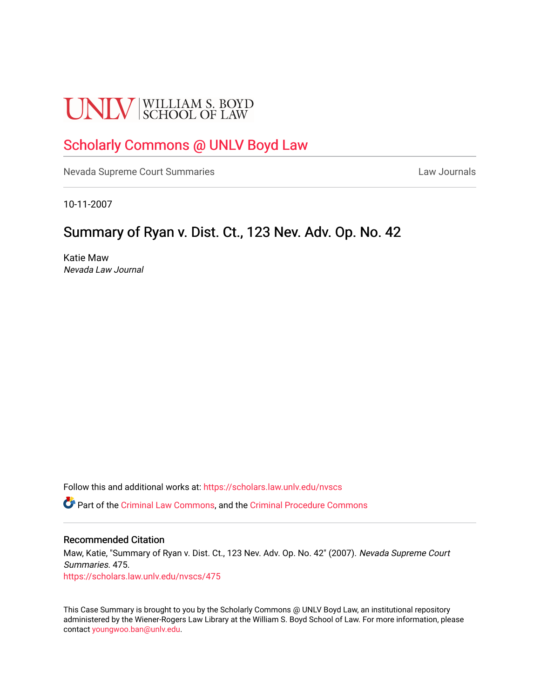# **UNLV** SCHOOL OF LAW

## [Scholarly Commons @ UNLV Boyd Law](https://scholars.law.unlv.edu/)

[Nevada Supreme Court Summaries](https://scholars.law.unlv.edu/nvscs) **Law Journals** Law Journals

10-11-2007

## Summary of Ryan v. Dist. Ct., 123 Nev. Adv. Op. No. 42

Katie Maw Nevada Law Journal

Follow this and additional works at: [https://scholars.law.unlv.edu/nvscs](https://scholars.law.unlv.edu/nvscs?utm_source=scholars.law.unlv.edu%2Fnvscs%2F475&utm_medium=PDF&utm_campaign=PDFCoverPages)

Part of the [Criminal Law Commons,](http://network.bepress.com/hgg/discipline/912?utm_source=scholars.law.unlv.edu%2Fnvscs%2F475&utm_medium=PDF&utm_campaign=PDFCoverPages) and the [Criminal Procedure Commons](http://network.bepress.com/hgg/discipline/1073?utm_source=scholars.law.unlv.edu%2Fnvscs%2F475&utm_medium=PDF&utm_campaign=PDFCoverPages)

#### Recommended Citation

Maw, Katie, "Summary of Ryan v. Dist. Ct., 123 Nev. Adv. Op. No. 42" (2007). Nevada Supreme Court Summaries. 475. [https://scholars.law.unlv.edu/nvscs/475](https://scholars.law.unlv.edu/nvscs/475?utm_source=scholars.law.unlv.edu%2Fnvscs%2F475&utm_medium=PDF&utm_campaign=PDFCoverPages)

This Case Summary is brought to you by the Scholarly Commons @ UNLV Boyd Law, an institutional repository administered by the Wiener-Rogers Law Library at the William S. Boyd School of Law. For more information, please contact [youngwoo.ban@unlv.edu](mailto:youngwoo.ban@unlv.edu).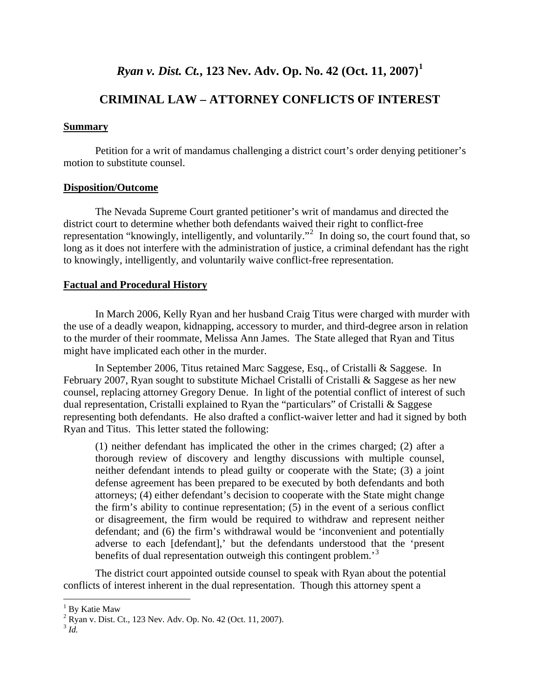## *Ryan v. Dist. Ct.***, 123 Nev. Adv. Op. No. 42 (Oct. 11, 2007)[1](#page-1-0)**

### **CRIMINAL LAW – ATTORNEY CONFLICTS OF INTEREST**

#### **Summary**

Petition for a writ of mandamus challenging a district court's order denying petitioner's motion to substitute counsel.

#### **Disposition/Outcome**

The Nevada Supreme Court granted petitioner's writ of mandamus and directed the district court to determine whether both defendants waived their right to conflict-free representation "knowingly, intelligently, and voluntarily."<sup>[2](#page-1-1)</sup> In doing so, the court found that, so long as it does not interfere with the administration of justice, a criminal defendant has the right to knowingly, intelligently, and voluntarily waive conflict-free representation.

#### **Factual and Procedural History**

In March 2006, Kelly Ryan and her husband Craig Titus were charged with murder with the use of a deadly weapon, kidnapping, accessory to murder, and third-degree arson in relation to the murder of their roommate, Melissa Ann James. The State alleged that Ryan and Titus might have implicated each other in the murder.

In September 2006, Titus retained Marc Saggese, Esq., of Cristalli & Saggese. In February 2007, Ryan sought to substitute Michael Cristalli of Cristalli & Saggese as her new counsel, replacing attorney Gregory Denue. In light of the potential conflict of interest of such dual representation, Cristalli explained to Ryan the "particulars" of Cristalli & Saggese representing both defendants. He also drafted a conflict-waiver letter and had it signed by both Ryan and Titus. This letter stated the following:

(1) neither defendant has implicated the other in the crimes charged; (2) after a thorough review of discovery and lengthy discussions with multiple counsel, neither defendant intends to plead guilty or cooperate with the State; (3) a joint defense agreement has been prepared to be executed by both defendants and both attorneys; (4) either defendant's decision to cooperate with the State might change the firm's ability to continue representation; (5) in the event of a serious conflict or disagreement, the firm would be required to withdraw and represent neither defendant; and (6) the firm's withdrawal would be 'inconvenient and potentially adverse to each [defendant],' but the defendants understood that the 'present benefits of dual representation outweigh this contingent problem.<sup>[3](#page-1-2)</sup>

The district court appointed outside counsel to speak with Ryan about the potential conflicts of interest inherent in the dual representation. Though this attorney spent a

 $\overline{a}$ 

<span id="page-1-0"></span><sup>&</sup>lt;sup>1</sup> By Katie Maw

<span id="page-1-1"></span><sup>2</sup> Ryan v. Dist. Ct., 123 Nev. Adv. Op. No. 42 (Oct. 11, 2007). 3 *Id.*

<span id="page-1-2"></span>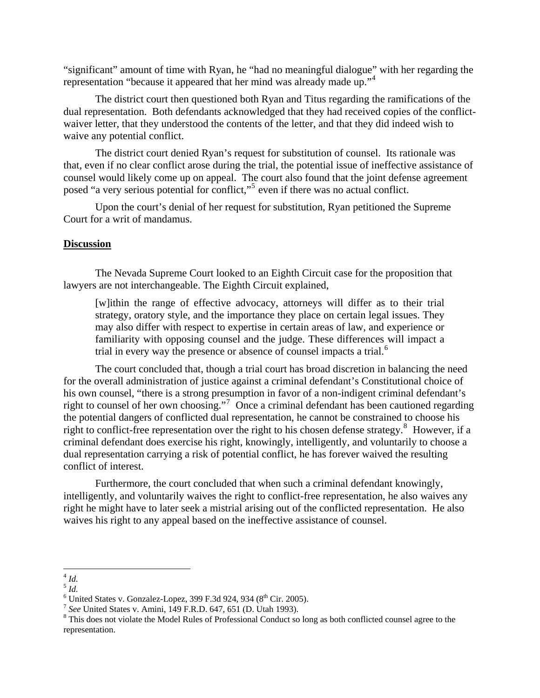"significant" amount of time with Ryan, he "had no meaningful dialogue" with her regarding the representation "because it appeared that her mind was already made up."[4](#page-2-0)

The district court then questioned both Ryan and Titus regarding the ramifications of the dual representation. Both defendants acknowledged that they had received copies of the conflictwaiver letter, that they understood the contents of the letter, and that they did indeed wish to waive any potential conflict.

The district court denied Ryan's request for substitution of counsel. Its rationale was that, even if no clear conflict arose during the trial, the potential issue of ineffective assistance of counsel would likely come up on appeal. The court also found that the joint defense agreement posed "a very serious potential for conflict,"<sup>[5](#page-2-1)</sup> even if there was no actual conflict.

Upon the court's denial of her request for substitution, Ryan petitioned the Supreme Court for a writ of mandamus.

#### **Discussion**

The Nevada Supreme Court looked to an Eighth Circuit case for the proposition that lawyers are not interchangeable. The Eighth Circuit explained,

[w]ithin the range of effective advocacy, attorneys will differ as to their trial strategy, oratory style, and the importance they place on certain legal issues. They may also differ with respect to expertise in certain areas of law, and experience or familiarity with opposing counsel and the judge. These differences will impact a trial in every way the presence or absence of counsel impacts a trial.<sup>[6](#page-2-2)</sup>

The court concluded that, though a trial court has broad discretion in balancing the need for the overall administration of justice against a criminal defendant's Constitutional choice of his own counsel, "there is a strong presumption in favor of a non-indigent criminal defendant's right to counsel of her own choosing."<sup>[7](#page-2-3)</sup> Once a criminal defendant has been cautioned regarding the potential dangers of conflicted dual representation, he cannot be constrained to choose his right to conflict-free representation over the right to his chosen defense strategy.<sup>[8](#page-2-4)</sup> However, if a criminal defendant does exercise his right, knowingly, intelligently, and voluntarily to choose a dual representation carrying a risk of potential conflict, he has forever waived the resulting conflict of interest.

Furthermore, the court concluded that when such a criminal defendant knowingly, intelligently, and voluntarily waives the right to conflict-free representation, he also waives any right he might have to later seek a mistrial arising out of the conflicted representation. He also waives his right to any appeal based on the ineffective assistance of counsel.

<sup>1</sup> <sup>4</sup> *Id.*

<span id="page-2-1"></span><span id="page-2-0"></span><sup>5</sup> *Id.*

<span id="page-2-2"></span> $<sup>6</sup>$  United States v. Gonzalez-Lopez, 399 F.3d 924, 934 ( $8<sup>th</sup>$  Cir. 2005).</sup>

<span id="page-2-3"></span><sup>&</sup>lt;sup>7</sup> See United States v. Amini, 149 F.R.D. 647, 651 (D. Utah 1993).

<span id="page-2-4"></span><sup>&</sup>lt;sup>8</sup> This does not violate the Model Rules of Professional Conduct so long as both conflicted counsel agree to the representation.